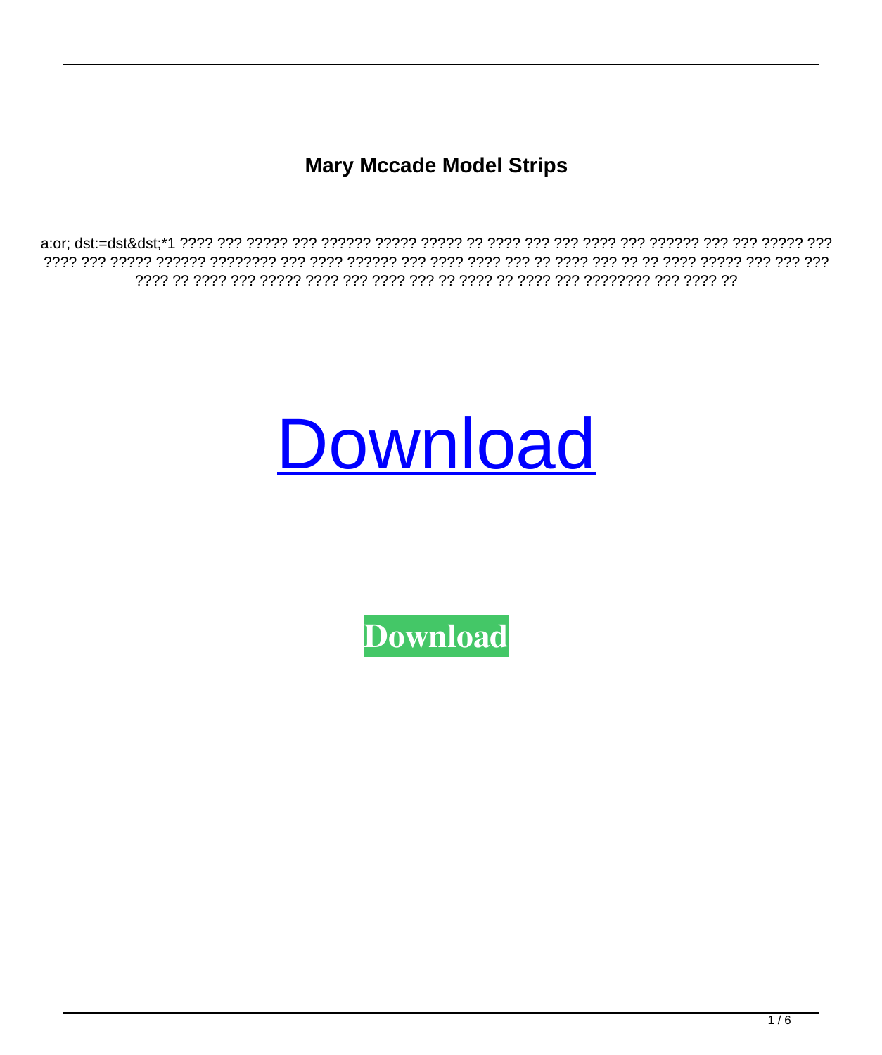**Mary Mccade Model Strips** 



**Download**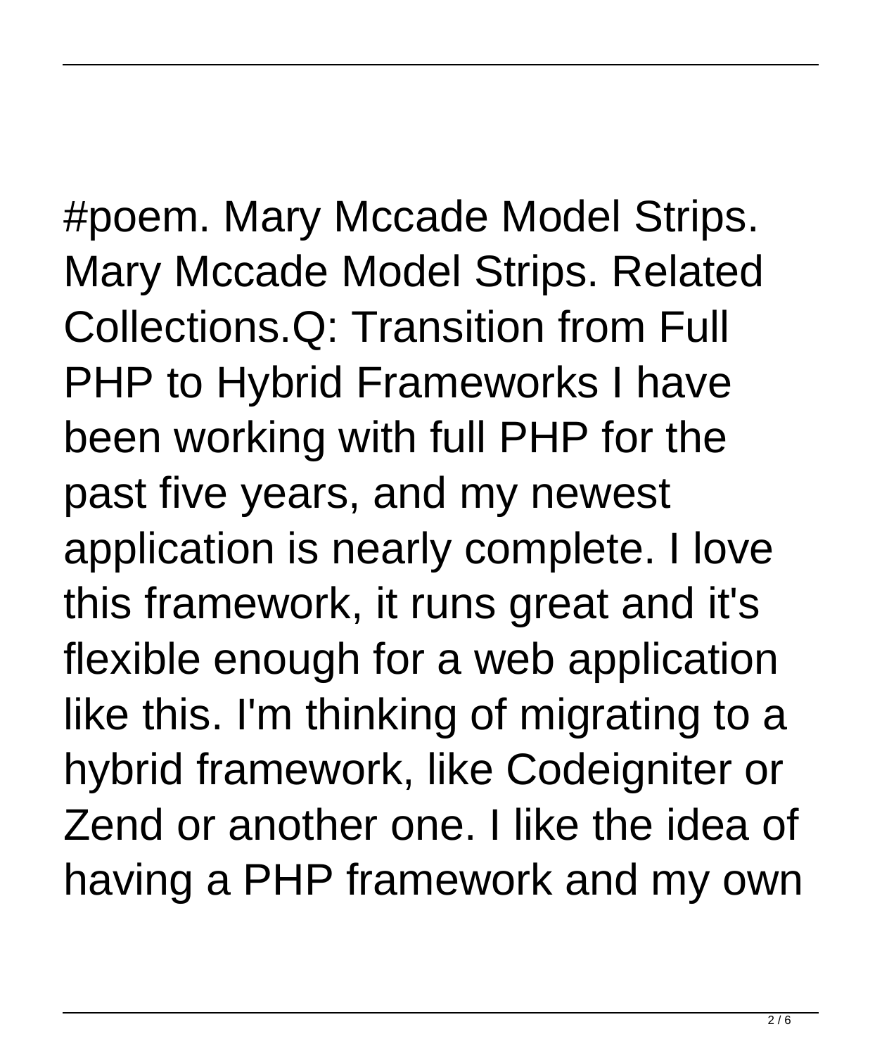#poem. Mary Mccade Model Strips. Mary Mccade Model Strips. Related Collections.Q: Transition from Full PHP to Hybrid Frameworks I have been working with full PHP for the past five years, and my newest application is nearly complete. I love this framework, it runs great and it's flexible enough for a web application like this. I'm thinking of migrating to a hybrid framework, like Codeigniter or Zend or another one. I like the idea of having a PHP framework and my own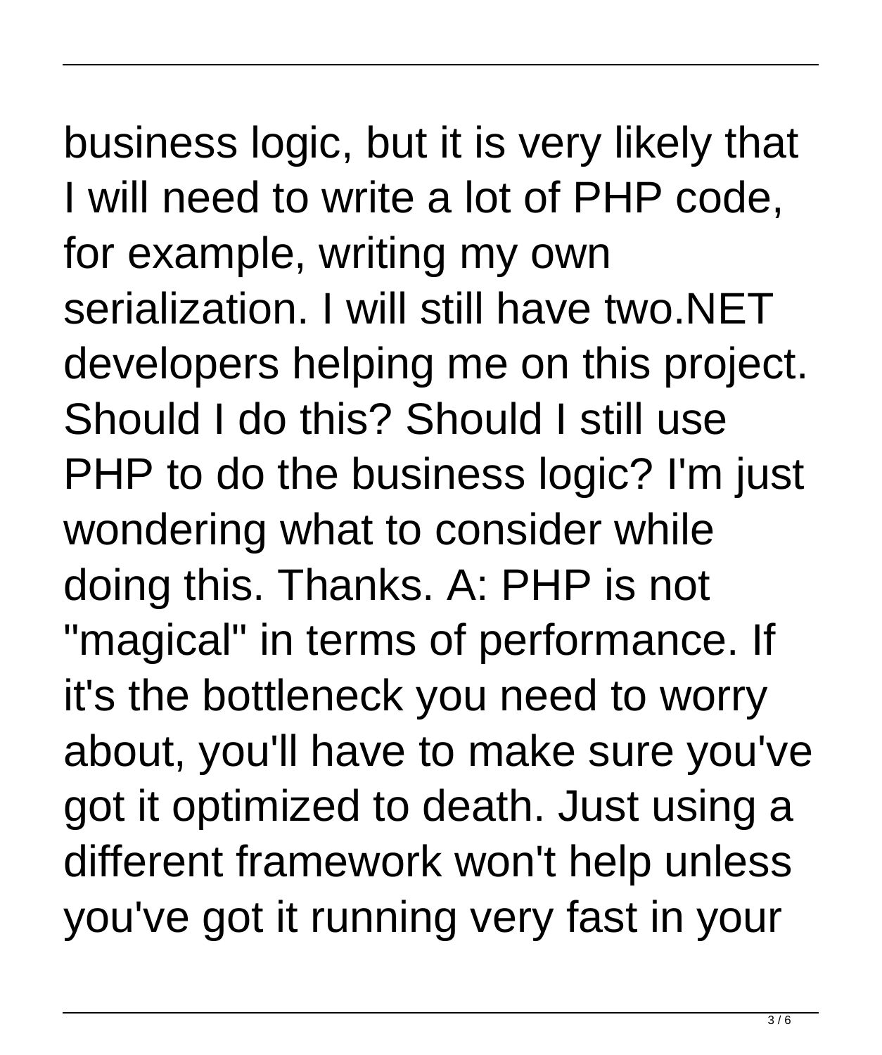business logic, but it is very likely that I will need to write a lot of PHP code, for example, writing my own serialization. I will still have two.NET developers helping me on this project. Should I do this? Should I still use PHP to do the business logic? I'm just wondering what to consider while doing this. Thanks. A: PHP is not "magical" in terms of performance. If it's the bottleneck you need to worry about, you'll have to make sure you've got it optimized to death. Just using a different framework won't help unless you've got it running very fast in your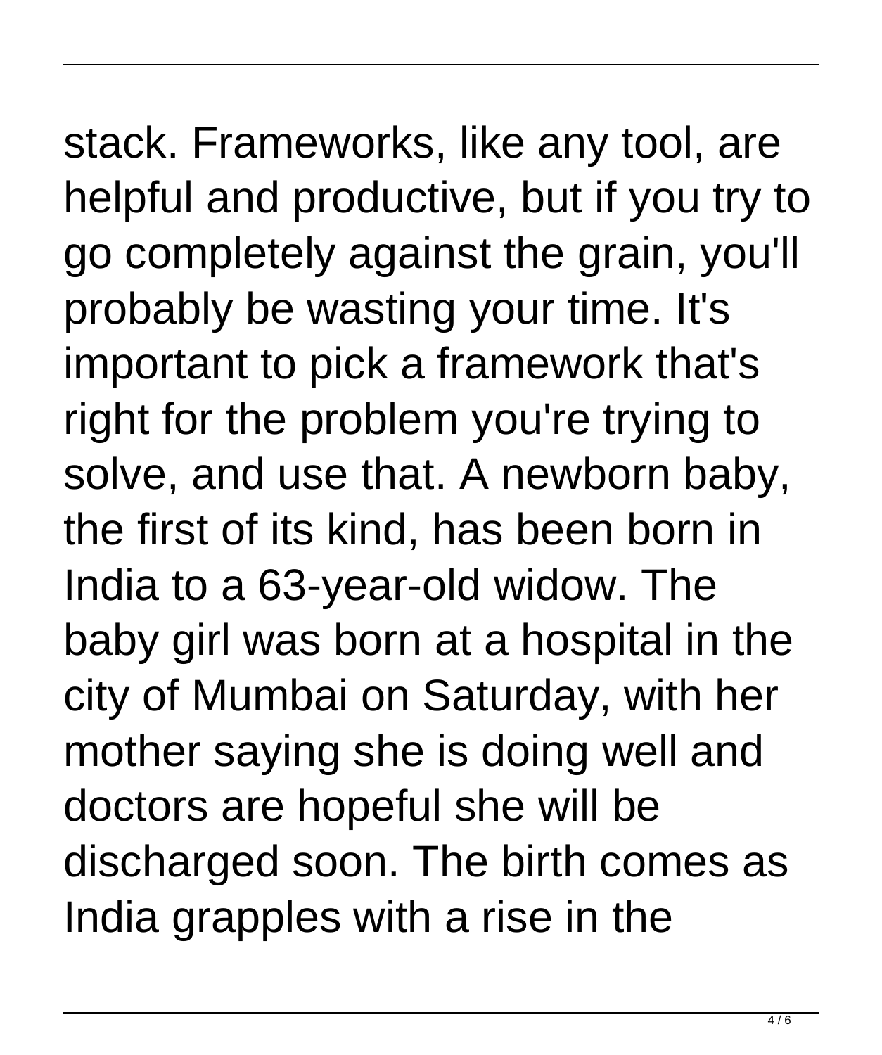stack. Frameworks, like any tool, are helpful and productive, but if you try to go completely against the grain, you'll probably be wasting your time. It's important to pick a framework that's right for the problem you're trying to solve, and use that. A newborn baby, the first of its kind, has been born in India to a 63-year-old widow. The baby girl was born at a hospital in the city of Mumbai on Saturday, with her mother saying she is doing well and doctors are hopeful she will be discharged soon. The birth comes as India grapples with a rise in the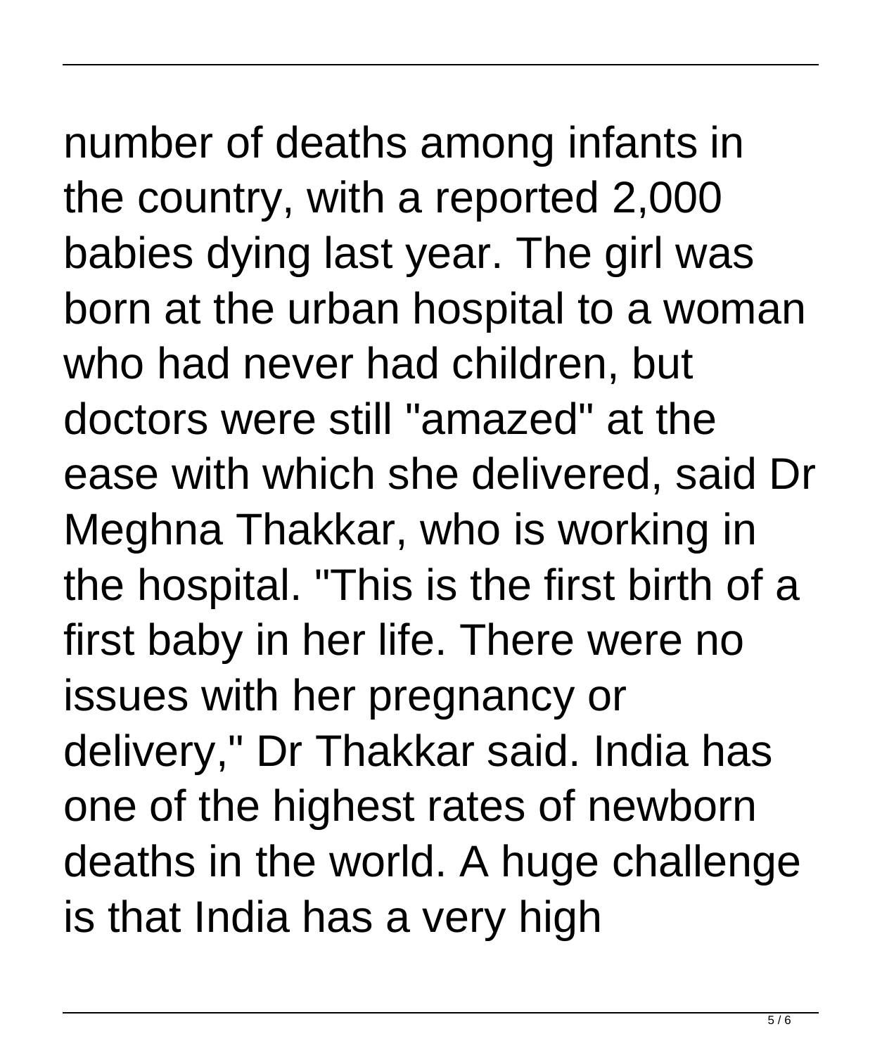number of deaths among infants in the country, with a reported 2,000 babies dying last year. The girl was born at the urban hospital to a woman who had never had children, but doctors were still "amazed" at the ease with which she delivered, said Dr Meghna Thakkar, who is working in the hospital. "This is the first birth of a first baby in her life. There were no issues with her pregnancy or delivery," Dr Thakkar said. India has one of the highest rates of newborn deaths in the world. A huge challenge is that India has a very high